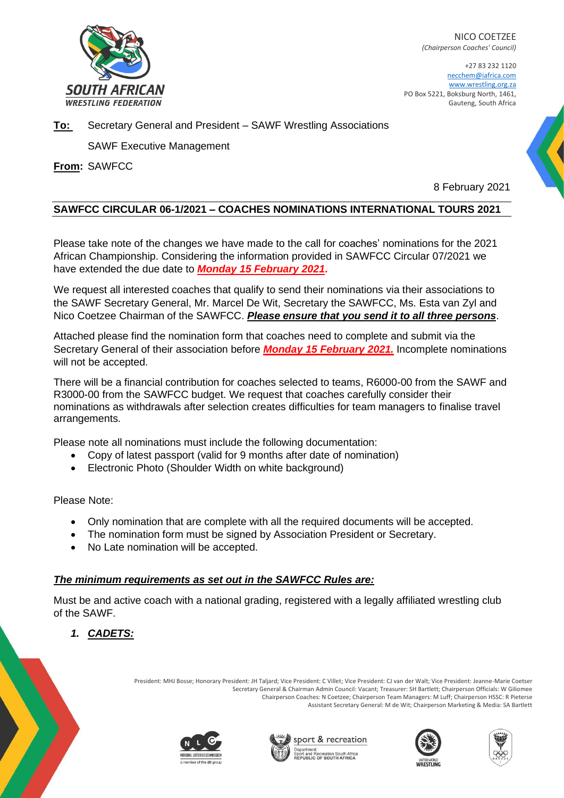

NICO COETZEE *(Chairperson Coaches' Council)*

+27 83 232 1120 necchem@iafrica.com www.wrestling.org.za PO Box 5221, Boksburg North, 1461, Gauteng, South Africa

## **To:** Secretary General and President – SAWF Wrestling Associations

SAWF Executive Management

**From:** SAWFCC

8 February 2021

## **SAWFCC CIRCULAR 06-1/2021 – COACHES NOMINATIONS INTERNATIONAL TOURS 2021**

Please take note of the changes we have made to the call for coaches' nominations for the 2021 African Championship. Considering the information provided in SAWFCC Circular 07/2021 we have extended the due date to *Monday 15 February 2021***.**

We request all interested coaches that qualify to send their nominations via their associations to the SAWF Secretary General, Mr. Marcel De Wit, Secretary the SAWFCC, Ms. Esta van Zyl and Nico Coetzee Chairman of the SAWFCC. *Please ensure that you send it to all three persons*.

Attached please find the nomination form that coaches need to complete and submit via the Secretary General of their association before *Monday 15 February 2021.* Incomplete nominations will not be accepted.

There will be a financial contribution for coaches selected to teams, R6000-00 from the SAWF and R3000-00 from the SAWFCC budget. We request that coaches carefully consider their nominations as withdrawals after selection creates difficulties for team managers to finalise travel arrangements.

Please note all nominations must include the following documentation:

- Copy of latest passport (valid for 9 months after date of nomination)
- Electronic Photo (Shoulder Width on white background)

Please Note:

- Only nomination that are complete with all the required documents will be accepted.
- The nomination form must be signed by Association President or Secretary.
- No Late nomination will be accepted.

## *The minimum requirements as set out in the SAWFCC Rules are:*

Must be and active coach with a national grading, registered with a legally affiliated wrestling club of the SAWF.

*1. CADETS:*

President: MHJ Bosse; Honorary President: JH Taljard; Vice President: C Villet; Vice President: CJ van der Walt; Vice President: Jeanne-Marie Coetser Secretary General & Chairman Admin Council: Vacant; Treasurer: SH Bartlett; Chairperson Officials: W Giliomee Chairperson Coaches: N Coetzee; Chairperson Team Managers: M Luff; Chairperson HSSC: R Pieterse Assistant Secretary General: M de Wit; Chairperson Marketing & Media: SA Bartlett